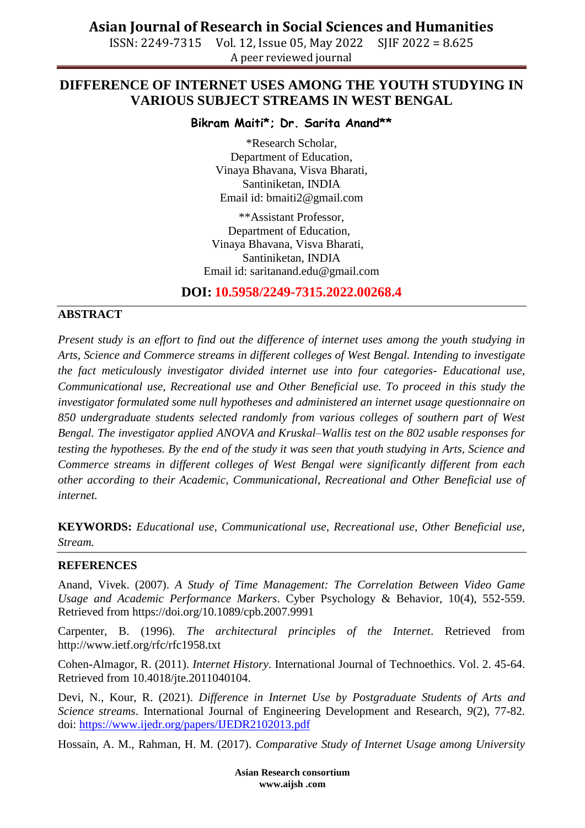**Asian Journal of Research in Social Sciences and Humanities**

ISSN: 2249-7315 Vol. 12, Issue 05, May 2022 SJIF 2022 = 8.625 A peer reviewed journal

## **DIFFERENCE OF INTERNET USES AMONG THE YOUTH STUDYING IN VARIOUS SUBJECT STREAMS IN WEST BENGAL**

**Bikram Maiti\*; Dr. Sarita Anand\*\***

\*Research Scholar, Department of Education, Vinaya Bhavana, Visva Bharati, Santiniketan, INDIA Email id: bmaiti2@gmail.com

\*\*Assistant Professor, Department of Education, Vinaya Bhavana, Visva Bharati, Santiniketan, INDIA Email id: [saritanand.edu@gmail.com](mailto:saritanand.edu@gmail.com)

### **DOI: 10.5958/2249-7315.2022.00268.4**

### **ABSTRACT**

*Present study is an effort to find out the difference of internet uses among the youth studying in Arts, Science and Commerce streams in different colleges of West Bengal. Intending to investigate the fact meticulously investigator divided internet use into four categories- Educational use, Communicational use, Recreational use and Other Beneficial use. To proceed in this study the investigator formulated some null hypotheses and administered an internet usage questionnaire on 850 undergraduate students selected randomly from various colleges of southern part of West Bengal. The investigator applied ANOVA and Kruskal–Wallis test on the 802 usable responses for testing the hypotheses. By the end of the study it was seen that youth studying in Arts, Science and Commerce streams in different colleges of West Bengal were significantly different from each other according to their Academic, Communicational, Recreational and Other Beneficial use of internet.*

**KEYWORDS:** *Educational use, Communicational use, Recreational use, Other Beneficial use, Stream.*

#### **REFERENCES**

Anand, Vivek. (2007). *A Study of Time Management: The Correlation Between Video Game Usage and Academic Performance Markers*. Cyber Psychology & Behavior, 10(4), 552-559. Retrieved from https://doi.org/10.1089/cpb.2007.9991

Carpenter, B. (1996). *The architectural principles of the Internet*. Retrieved from http://www.ietf.org/rfc/rfc1958.txt

Cohen-Almagor, R. (2011). *Internet History*. International Journal of Technoethics. Vol. 2. 45-64. Retrieved from 10.4018/jte.2011040104.

Devi, N., Kour, R. (2021). *Difference in Internet Use by Postgraduate Students of Arts and Science streams*. International Journal of Engineering Development and Research, *9*(2), 77-82. doi:<https://www.ijedr.org/papers/IJEDR2102013.pdf>

Hossain, A. M., Rahman, H. M. (2017). *Comparative Study of Internet Usage among University*